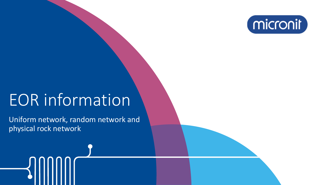

# EOR information

Uniform network, random network and physical rock network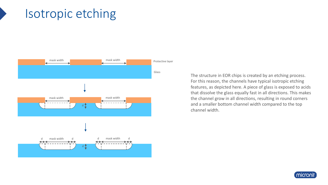### Isotropic etching



The structure in EOR chips is created by an etching process. For this reason, the channels have typical isotropic etching features, as depicted here. A piece of glass is exposed to acids that dissolve the glass equally fast in all directions. This makes the channel grow in all directions, resulting in round corners and a smaller bottom channel width compared to the top channel width.

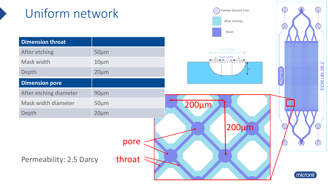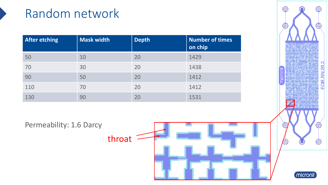### Random network

| <b>After etching</b> | Mask width | <b>Depth</b> | Number of times<br>on chip |
|----------------------|------------|--------------|----------------------------|
| 50                   | 10         | 20           | 1429                       |
| 70                   | 30         | 20           | 1438                       |
| 90                   | 50         | 20           | 1412                       |
| 110                  | 70         | 20           | 1412                       |
| 130                  | 90         | 20           | 1531                       |

Permeability: 1.6 Darcy ⋙ throat



micronit